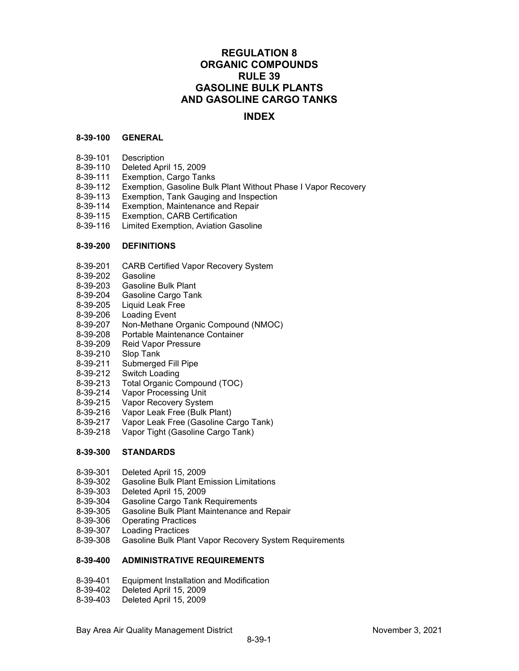# **REGULATION 8 ORGANIC COMPOUNDS RULE 39 GASOLINE BULK PLANTS AND GASOLINE CARGO TANKS**

# **INDEX**

#### **8-39-100 GENERAL**

- 8-39-101 Description
- 8-39-110 Deleted April 15, 2009
- 8-39-111 Exemption, Cargo Tanks
- 8-39-112 Exemption, Gasoline Bulk Plant Without Phase I Vapor Recovery<br>8-39-113 Exemption, Tank Gauging and Inspection
- Exemption, Tank Gauging and Inspection
- 8-39-114 Exemption, Maintenance and Repair<br>8-39-115 Exemption, CARB Certification
- 
- 8-39-115 Exemption, CARB Certification Limited Exemption, Aviation Gasoline

#### **8-39-200 DEFINITIONS**

- 8-39-201 CARB Certified Vapor Recovery System
- 8-39-202 Gasoline
- 8-39-203 Gasoline Bulk Plant
- 8-39-204 Gasoline Cargo Tank
- 8-39-205 Liquid Leak Free
- 8-39-206 Loading Event
- 8-39-207 Non-Methane Organic Compound (NMOC)
- 8-39-208 Portable Maintenance Container<br>8-39-209 Reid Vapor Pressure
- Reid Vapor Pressure
- 8-39-210 Slop Tank
- 8-39-211 Submerged Fill Pipe
- 8-39-212 Switch Loading
- 8-39-213 Total Organic Compound (TOC)
- 8-39-214 Vapor Processing Unit
- 8-39-215 Vapor Recovery System
- 8-39-216 Vapor Leak Free (Bulk Plant)
- 8-39-217 Vapor Leak Free (Gasoline Cargo Tank)
- 8-39-218 Vapor Tight (Gasoline Cargo Tank)

#### **8-39-300 STANDARDS**

- 8-39-301 Deleted April 15, 2009
- 8-39-302 Gasoline Bulk Plant Emission Limitations
- Deleted April 15, 2009
- 8-39-304 Gasoline Cargo Tank Requirements
- 8-39-305 Gasoline Bulk Plant Maintenance and Repair
- 8-39-306 Operating Practices
- 8-39-307 Loading Practices
- Gasoline Bulk Plant Vapor Recovery System Requirements

## **8-39-400 ADMINISTRATIVE REQUIREMENTS**

- 8-39-401 Equipment Installation and Modification
- Deleted April 15, 2009
- 8-39-403 Deleted April 15, 2009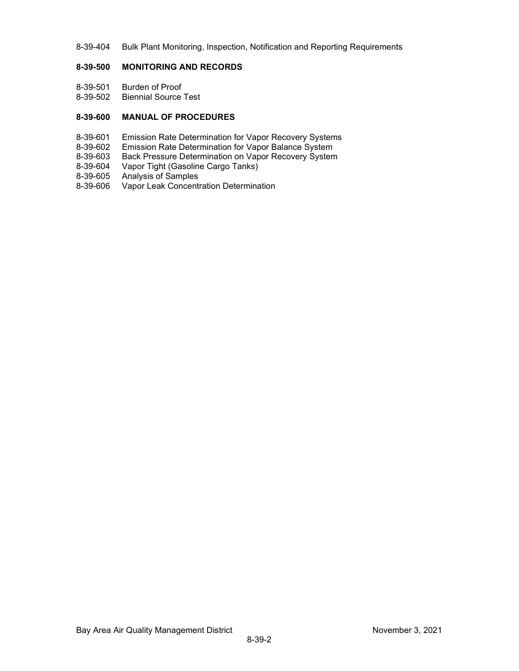8-39-404 Bulk Plant Monitoring, Inspection, Notification and Reporting Requirements

## **8-39-500 MONITORING AND RECORDS**

- 8-39-501 Burden of Proof
- 8-39-502 Biennial Source Test

## **8-39-600 MANUAL OF PROCEDURES**

- 8-39-601 Emission Rate Determination for Vapor Recovery Systems
- 8-39-602 Emission Rate Determination for Vapor Balance System
- 8-39-603 Back Pressure Determination on Vapor Recovery System<br>8-39-604 Vapor Tight (Gasoline Cargo Tanks)
- Vapor Tight (Gasoline Cargo Tanks)
- 8-39-605 Analysis of Samples
- 8-39-606 Vapor Leak Concentration Determination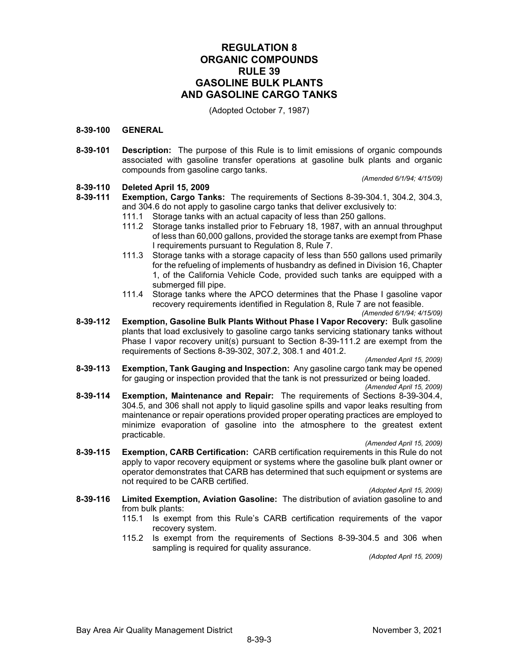# **REGULATION 8 ORGANIC COMPOUNDS RULE 39 GASOLINE BULK PLANTS AND GASOLINE CARGO TANKS**

(Adopted October 7, 1987)

#### **8-39-100 GENERAL**

**8-39-101 Description:** The purpose of this Rule is to limit emissions of organic compounds associated with gasoline transfer operations at gasoline bulk plants and organic compounds from gasoline cargo tanks.

*(Amended 6/1/94; 4/15/09)*

#### **8-39-110 Deleted April 15, 2009**

- **8-39-111 Exemption, Cargo Tanks:** The requirements of Sections 8-39-304.1, 304.2, 304.3, and 304.6 do not apply to gasoline cargo tanks that deliver exclusively to:
	- 111.1 Storage tanks with an actual capacity of less than 250 gallons.
	- 111.2 Storage tanks installed prior to February 18, 1987, with an annual throughput of less than 60,000 gallons, provided the storage tanks are exempt from Phase I requirements pursuant to Regulation 8, Rule 7.
	- 111.3 Storage tanks with a storage capacity of less than 550 gallons used primarily for the refueling of implements of husbandry as defined in Division 16, Chapter 1, of the California Vehicle Code, provided such tanks are equipped with a submerged fill pipe.
	- 111.4 Storage tanks where the APCO determines that the Phase I gasoline vapor recovery requirements identified in Regulation 8, Rule 7 are not feasible.

*(Amended 6/1/94; 4/15/09)*

**8-39-112 Exemption, Gasoline Bulk Plants Without Phase I Vapor Recovery:** Bulk gasoline plants that load exclusively to gasoline cargo tanks servicing stationary tanks without Phase I vapor recovery unit(s) pursuant to Section 8-39-111.2 are exempt from the requirements of Sections 8-39-302, 307.2, 308.1 and 401.2.

*(Amended April 15, 2009)*

**8-39-113 Exemption, Tank Gauging and Inspection:** Any gasoline cargo tank may be opened for gauging or inspection provided that the tank is not pressurized or being loaded.

*(Amended April 15, 2009)*

**8-39-114 Exemption, Maintenance and Repair:** The requirements of Sections 8-39-304.4, 304.5, and 306 shall not apply to liquid gasoline spills and vapor leaks resulting from maintenance or repair operations provided proper operating practices are employed to minimize evaporation of gasoline into the atmosphere to the greatest extent practicable.

*(Amended April 15, 2009)*

**8-39-115 Exemption, CARB Certification:** CARB certification requirements in this Rule do not apply to vapor recovery equipment or systems where the gasoline bulk plant owner or operator demonstrates that CARB has determined that such equipment or systems are not required to be CARB certified.

*(Adopted April 15, 2009)*

- **8-39-116 Limited Exemption, Aviation Gasoline:** The distribution of aviation gasoline to and from bulk plants:
	- 115.1 Is exempt from this Rule's CARB certification requirements of the vapor recovery system.
	- 115.2 Is exempt from the requirements of Sections 8-39-304.5 and 306 when sampling is required for quality assurance.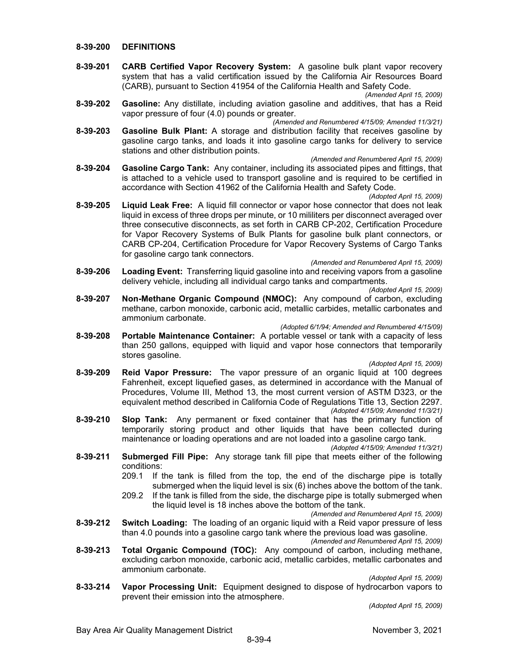#### **8-39-200 DEFINITIONS**

**8-39-201 CARB Certified Vapor Recovery System:** A gasoline bulk plant vapor recovery system that has a valid certification issued by the California Air Resources Board (CARB), pursuant to Section 41954 of the California Health and Safety Code.

*(Amended April 15, 2009)*

**8-39-202 Gasoline:** Any distillate, including aviation gasoline and additives, that has a Reid vapor pressure of four (4.0) pounds or greater.

*(Amended and Renumbered 4/15/09; Amended 11/3/21)*

- **8-39-203 Gasoline Bulk Plant:** A storage and distribution facility that receives gasoline by gasoline cargo tanks, and loads it into gasoline cargo tanks for delivery to service stations and other distribution points.
- *(Amended and Renumbered April 15, 2009)* **8-39-204 Gasoline Cargo Tank:** Any container, including its associated pipes and fittings, that is attached to a vehicle used to transport gasoline and is required to be certified in accordance with Section 41962 of the California Health and Safety Code.

*(Adopted April 15, 2009)*

**8-39-205 Liquid Leak Free:** A liquid fill connector or vapor hose connector that does not leak liquid in excess of three drops per minute, or 10 mililiters per disconnect averaged over three consecutive disconnects, as set forth in CARB CP-202, Certification Procedure for Vapor Recovery Systems of Bulk Plants for gasoline bulk plant connectors, or CARB CP-204, Certification Procedure for Vapor Recovery Systems of Cargo Tanks for gasoline cargo tank connectors.

*(Amended and Renumbered April 15, 2009)*

**8-39-206 Loading Event:** Transferring liquid gasoline into and receiving vapors from a gasoline delivery vehicle, including all individual cargo tanks and compartments.

*(Adopted April 15, 2009)*

- **8-39-207 Non-Methane Organic Compound (NMOC):** Any compound of carbon, excluding methane, carbon monoxide, carbonic acid, metallic carbides, metallic carbonates and ammonium carbonate.
	- *(Adopted 6/1/94; Amended and Renumbered 4/15/09)*
- **8-39-208 Portable Maintenance Container:** A portable vessel or tank with a capacity of less than 250 gallons, equipped with liquid and vapor hose connectors that temporarily stores gasoline.

*(Adopted April 15, 2009)*

- **8-39-209 Reid Vapor Pressure:** The vapor pressure of an organic liquid at 100 degrees Fahrenheit, except liquefied gases, as determined in accordance with the Manual of Procedures, Volume III, Method 13, the most current version of ASTM D323, or the equivalent method described in California Code of Regulations Title 13, Section 2297. *(Adopted 4/15/09; Amended 11/3/21)*
- **8-39-210 Slop Tank:** Any permanent or fixed container that has the primary function of temporarily storing product and other liquids that have been collected during maintenance or loading operations and are not loaded into a gasoline cargo tank. *(Adopted 4/15/09; Amended 11/3/21)*
- **8-39-211 Submerged Fill Pipe:** Any storage tank fill pipe that meets either of the following conditions:
	- 209.1 If the tank is filled from the top, the end of the discharge pipe is totally submerged when the liquid level is six (6) inches above the bottom of the tank.
	- 209.2 If the tank is filled from the side, the discharge pipe is totally submerged when the liquid level is 18 inches above the bottom of the tank.
- *(Amended and Renumbered April 15, 2009)* **8-39-212 Switch Loading:** The loading of an organic liquid with a Reid vapor pressure of less

than 4.0 pounds into a gasoline cargo tank where the previous load was gasoline.

*(Amended and Renumbered April 15, 2009)*

**8-39-213 Total Organic Compound (TOC):** Any compound of carbon, including methane, excluding carbon monoxide, carbonic acid, metallic carbides, metallic carbonates and ammonium carbonate.

*(Adopted April 15, 2009)*

**8-33-214 Vapor Processing Unit:** Equipment designed to dispose of hydrocarbon vapors to prevent their emission into the atmosphere.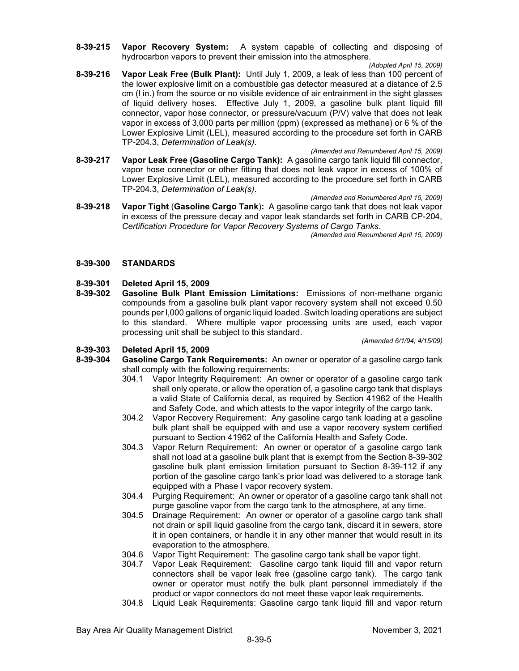- **8-39-215 Vapor Recovery System:** A system capable of collecting and disposing of hydrocarbon vapors to prevent their emission into the atmosphere.
- *(Adopted April 15, 2009)* **8-39-216 Vapor Leak Free (Bulk Plant):** Until July 1, 2009, a leak of less than 100 percent of the lower explosive limit on a combustible gas detector measured at a distance of 2.5 cm (l in.) from the source or no visible evidence of air entrainment in the sight glasses of liquid delivery hoses. Effective July 1, 2009, a gasoline bulk plant liquid fill connector, vapor hose connector, or pressure/vacuum (P/V) valve that does not leak vapor in excess of 3,000 parts per million (ppm) (expressed as methane) or 6 % of the Lower Explosive Limit (LEL), measured according to the procedure set forth in CARB TP-204.3, *Determination of Leak(s)*.
- *(Amended and Renumbered April 15, 2009)* **8-39-217 Vapor Leak Free (Gasoline Cargo Tank):** A gasoline cargo tank liquid fill connector, vapor hose connector or other fitting that does not leak vapor in excess of 100% of Lower Explosive Limit (LEL), measured according to the procedure set forth in CARB TP-204.3, *Determination of Leak(s)*.
- *(Amended and Renumbered April 15, 2009)* **8-39-218 Vapor Tight** (**Gasoline Cargo Tank**)**:** A gasoline cargo tank that does not leak vapor in excess of the pressure decay and vapor leak standards set forth in CARB CP-204, *Certification Procedure for Vapor Recovery Systems of Cargo Tanks*.

*(Amended and Renumbered April 15, 2009)*

## **8-39-300 STANDARDS**

# **8-39-301 Deleted April 15, 2009**

**Gasoline Bulk Plant Emission Limitations:** Emissions of non-methane organic compounds from a gasoline bulk plant vapor recovery system shall not exceed 0.50 pounds per l,000 gallons of organic liquid loaded. Switch loading operations are subject to this standard. Where multiple vapor processing units are used, each vapor processing unit shall be subject to this standard.

*(Amended 6/1/94; 4/15/09)*

# **8-39-303 Deleted April 15, 2009**

- **Gasoline Cargo Tank Requirements:** An owner or operator of a gasoline cargo tank shall comply with the following requirements:
	- 304.1 Vapor Integrity Requirement: An owner or operator of a gasoline cargo tank shall only operate, or allow the operation of, a gasoline cargo tank that displays a valid State of California decal, as required by Section 41962 of the Health and Safety Code, and which attests to the vapor integrity of the cargo tank.
	- 304.2 Vapor Recovery Requirement: Any gasoline cargo tank loading at a gasoline bulk plant shall be equipped with and use a vapor recovery system certified pursuant to Section 41962 of the California Health and Safety Code.
	- 304.3 Vapor Return Requirement: An owner or operator of a gasoline cargo tank shall not load at a gasoline bulk plant that is exempt from the Section 8-39-302 gasoline bulk plant emission limitation pursuant to Section 8-39-112 if any portion of the gasoline cargo tank's prior load was delivered to a storage tank equipped with a Phase I vapor recovery system.
	- 304.4 Purging Requirement: An owner or operator of a gasoline cargo tank shall not purge gasoline vapor from the cargo tank to the atmosphere, at any time.
	- 304.5 Drainage Requirement: An owner or operator of a gasoline cargo tank shall not drain or spill liquid gasoline from the cargo tank, discard it in sewers, store it in open containers, or handle it in any other manner that would result in its evaporation to the atmosphere.
	- 304.6 Vapor Tight Requirement: The gasoline cargo tank shall be vapor tight.
	- 304.7 Vapor Leak Requirement: Gasoline cargo tank liquid fill and vapor return connectors shall be vapor leak free (gasoline cargo tank). The cargo tank owner or operator must notify the bulk plant personnel immediately if the product or vapor connectors do not meet these vapor leak requirements.
	- 304.8 Liquid Leak Requirements: Gasoline cargo tank liquid fill and vapor return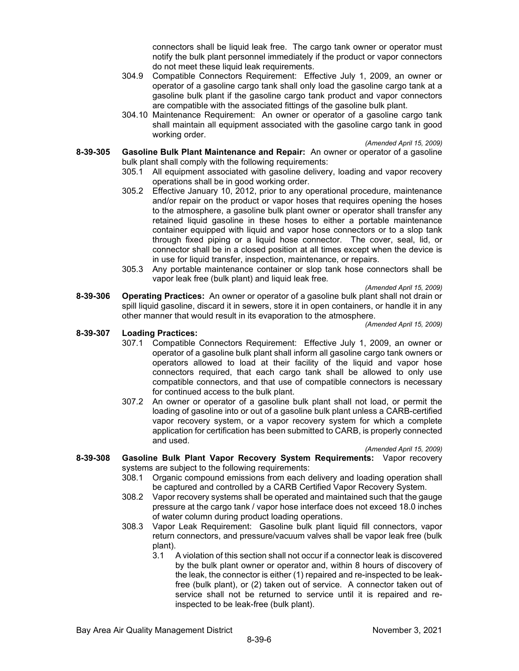connectors shall be liquid leak free. The cargo tank owner or operator must notify the bulk plant personnel immediately if the product or vapor connectors do not meet these liquid leak requirements.

- 304.9 Compatible Connectors Requirement: Effective July 1, 2009, an owner or operator of a gasoline cargo tank shall only load the gasoline cargo tank at a gasoline bulk plant if the gasoline cargo tank product and vapor connectors are compatible with the associated fittings of the gasoline bulk plant.
- 304.10 Maintenance Requirement: An owner or operator of a gasoline cargo tank shall maintain all equipment associated with the gasoline cargo tank in good working order.

*(Amended April 15, 2009)*

- **8-39-305 Gasoline Bulk Plant Maintenance and Repair:** An owner or operator of a gasoline bulk plant shall comply with the following requirements:
	- 305.1 All equipment associated with gasoline delivery, loading and vapor recovery operations shall be in good working order.
	- 305.2 Effective January 10, 2012, prior to any operational procedure, maintenance and/or repair on the product or vapor hoses that requires opening the hoses to the atmosphere, a gasoline bulk plant owner or operator shall transfer any retained liquid gasoline in these hoses to either a portable maintenance container equipped with liquid and vapor hose connectors or to a slop tank through fixed piping or a liquid hose connector. The cover, seal, lid, or connector shall be in a closed position at all times except when the device is in use for liquid transfer, inspection, maintenance, or repairs.
	- 305.3 Any portable maintenance container or slop tank hose connectors shall be vapor leak free (bulk plant) and liquid leak free*.*

*(Amended April 15, 2009)*

**8-39-306 Operating Practices:** An owner or operator of a gasoline bulk plant shall not drain or spill liquid gasoline, discard it in sewers, store it in open containers, or handle it in any other manner that would result in its evaporation to the atmosphere.

*(Amended April 15, 2009)*

#### **8-39-307 Loading Practices:**

- 307.1 Compatible Connectors Requirement: Effective July 1, 2009, an owner or operator of a gasoline bulk plant shall inform all gasoline cargo tank owners or operators allowed to load at their facility of the liquid and vapor hose connectors required, that each cargo tank shall be allowed to only use compatible connectors, and that use of compatible connectors is necessary for continued access to the bulk plant.
- 307.2 An owner or operator of a gasoline bulk plant shall not load, or permit the loading of gasoline into or out of a gasoline bulk plant unless a CARB-certified vapor recovery system, or a vapor recovery system for which a complete application for certification has been submitted to CARB, is properly connected and used.

*(Amended April 15, 2009)*

- **8-39-308 Gasoline Bulk Plant Vapor Recovery System Requirements:** Vapor recovery systems are subject to the following requirements:
	- 308.1 Organic compound emissions from each delivery and loading operation shall be captured and controlled by a CARB Certified Vapor Recovery System.
	- 308.2 Vapor recovery systems shall be operated and maintained such that the gauge pressure at the cargo tank / vapor hose interface does not exceed 18.0 inches of water column during product loading operations.
	- 308.3 Vapor Leak Requirement: Gasoline bulk plant liquid fill connectors, vapor return connectors, and pressure/vacuum valves shall be vapor leak free (bulk plant).
		- 3.1 A violation of this section shall not occur if a connector leak is discovered by the bulk plant owner or operator and, within 8 hours of discovery of the leak, the connector is either (1) repaired and re-inspected to be leakfree (bulk plant), or (2) taken out of service. A connector taken out of service shall not be returned to service until it is repaired and reinspected to be leak-free (bulk plant).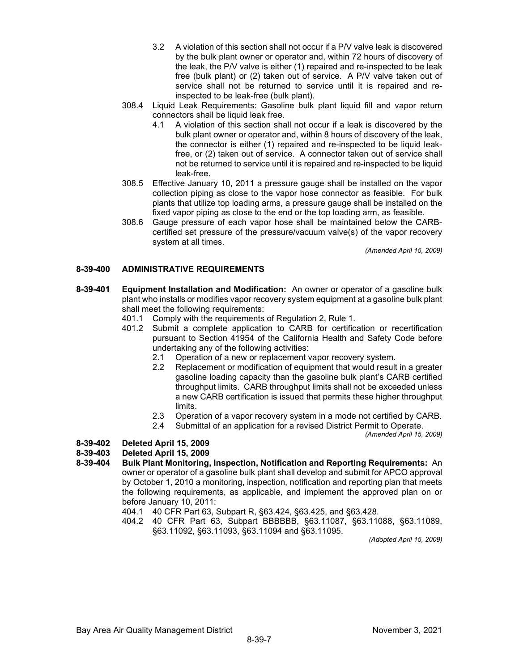- 3.2 A violation of this section shall not occur if a P/V valve leak is discovered by the bulk plant owner or operator and, within 72 hours of discovery of the leak, the P/V valve is either (1) repaired and re-inspected to be leak free (bulk plant) or (2) taken out of service. A P/V valve taken out of service shall not be returned to service until it is repaired and reinspected to be leak-free (bulk plant).
- 308.4 Liquid Leak Requirements: Gasoline bulk plant liquid fill and vapor return connectors shall be liquid leak free.
	- 4.1 A violation of this section shall not occur if a leak is discovered by the bulk plant owner or operator and, within 8 hours of discovery of the leak, the connector is either (1) repaired and re-inspected to be liquid leakfree, or (2) taken out of service. A connector taken out of service shall not be returned to service until it is repaired and re-inspected to be liquid leak-free.
- 308.5 Effective January 10, 2011 a pressure gauge shall be installed on the vapor collection piping as close to the vapor hose connector as feasible. For bulk plants that utilize top loading arms, a pressure gauge shall be installed on the fixed vapor piping as close to the end or the top loading arm, as feasible.
- 308.6 Gauge pressure of each vapor hose shall be maintained below the CARBcertified set pressure of the pressure/vacuum valve(s) of the vapor recovery system at all times.

*(Amended April 15, 2009)*

## **8-39-400 ADMINISTRATIVE REQUIREMENTS**

- **8-39-401 Equipment Installation and Modification:** An owner or operator of a gasoline bulk plant who installs or modifies vapor recovery system equipment at a gasoline bulk plant shall meet the following requirements:
	- 401.1 Comply with the requirements of Regulation 2, Rule 1.
	- 401.2 Submit a complete application to CARB for certification or recertification pursuant to Section 41954 of the California Health and Safety Code before undertaking any of the following activities:
		- 2.1 Operation of a new or replacement vapor recovery system.
		- 2.2 Replacement or modification of equipment that would result in a greater gasoline loading capacity than the gasoline bulk plant's CARB certified throughput limits. CARB throughput limits shall not be exceeded unless a new CARB certification is issued that permits these higher throughput limits.
		- 2.3 Operation of a vapor recovery system in a mode not certified by CARB.
		- 2.4 Submittal of an application for a revised District Permit to Operate.

*(Amended April 15, 2009)*

#### **8-39-402 Deleted April 15, 2009**

# **8-39-403 Deleted April 15, 2009**

- **8-39-404 Bulk Plant Monitoring, Inspection, Notification and Reporting Requirements:** An owner or operator of a gasoline bulk plant shall develop and submit for APCO approval by October 1, 2010 a monitoring, inspection, notification and reporting plan that meets the following requirements, as applicable, and implement the approved plan on or before January 10, 2011:
	- 404.1 40 CFR Part 63, Subpart R, §63.424, §63.425, and §63.428.
	- 404.2 40 CFR Part 63, Subpart BBBBBB, §63.11087, §63.11088, §63.11089, §63.11092, §63.11093, §63.11094 and §63.11095.